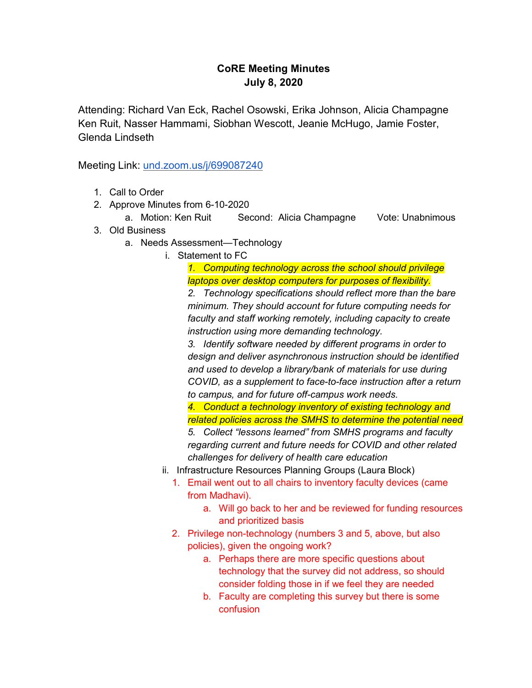## **CoRE Meeting Minutes July 8, 2020**

Attending: Richard Van Eck, Rachel Osowski, Erika Johnson, Alicia Champagne Ken Ruit, Nasser Hammami, Siobhan Wescott, Jeanie McHugo, Jamie Foster, Glenda Lindseth

Meeting Link: [und.zoom.us/j/699087240](http://und.zoom.us/j/699087240)

- 1. Call to Order
- 2. Approve Minutes from 6-10-2020
	- a. Motion: Ken Ruit Second: Alicia Champagne Vote: Unabnimous
- 3. Old Business
	- a. Needs Assessment—Technology
		- i. Statement to FC

*1. Computing technology across the school should privilege laptops over desktop computers for purposes of flexibility.*

*2. Technology specifications should reflect more than the bare minimum. They should account for future computing needs for faculty and staff working remotely, including capacity to create instruction using more demanding technology.*

*3. Identify software needed by different programs in order to design and deliver asynchronous instruction should be identified and used to develop a library/bank of materials for use during COVID, as a supplement to face-to-face instruction after a return to campus, and for future off-campus work needs.*

*4. Conduct a technology inventory of existing technology and related policies across the SMHS to determine the potential need*

*5. Collect "lessons learned" from SMHS programs and faculty regarding current and future needs for COVID and other related challenges for delivery of health care education*

- ii. Infrastructure Resources Planning Groups (Laura Block)
	- 1. Email went out to all chairs to inventory faculty devices (came from Madhavi).
		- a. Will go back to her and be reviewed for funding resources and prioritized basis
	- 2. Privilege non-technology (numbers 3 and 5, above, but also policies), given the ongoing work?
		- a. Perhaps there are more specific questions about technology that the survey did not address, so should consider folding those in if we feel they are needed
		- b. Faculty are completing this survey but there is some confusion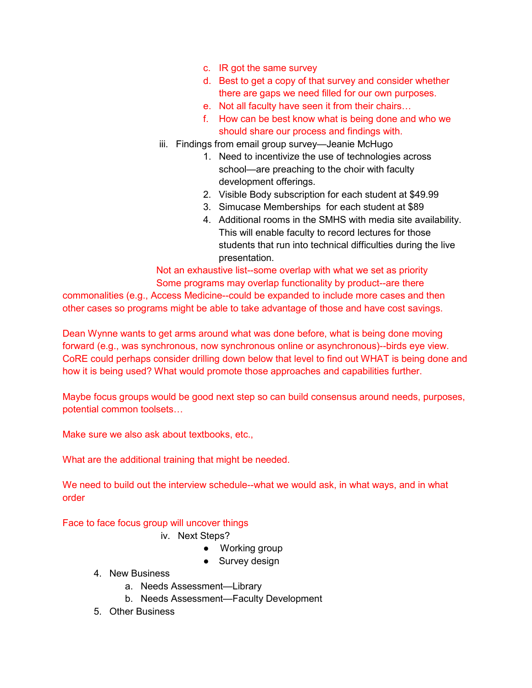- c. IR got the same survey
- d. Best to get a copy of that survey and consider whether there are gaps we need filled for our own purposes.
- e. Not all faculty have seen it from their chairs…
- f. How can be best know what is being done and who we should share our process and findings with.
- iii. Findings from email group survey—Jeanie McHugo
	- 1. Need to incentivize the use of technologies across school—are preaching to the choir with faculty development offerings.
	- 2. Visible Body subscription for each student at \$49.99
	- 3. Simucase Memberships for each student at \$89
	- 4. Additional rooms in the SMHS with media site availability. This will enable faculty to record lectures for those students that run into technical difficulties during the live presentation.

Not an exhaustive list--some overlap with what we set as priority Some programs may overlap functionality by product--are there

commonalities (e.g., Access Medicine--could be expanded to include more cases and then other cases so programs might be able to take advantage of those and have cost savings.

Dean Wynne wants to get arms around what was done before, what is being done moving forward (e.g., was synchronous, now synchronous online or asynchronous)--birds eye view. CoRE could perhaps consider drilling down below that level to find out WHAT is being done and how it is being used? What would promote those approaches and capabilities further.

Maybe focus groups would be good next step so can build consensus around needs, purposes, potential common toolsets…

Make sure we also ask about textbooks, etc.,

What are the additional training that might be needed.

We need to build out the interview schedule--what we would ask, in what ways, and in what order

## Face to face focus group will uncover things

iv. Next Steps?

- Working group
- Survey design
- 4. New Business
	- a. Needs Assessment—Library
	- b. Needs Assessment—Faculty Development
- 5. Other Business